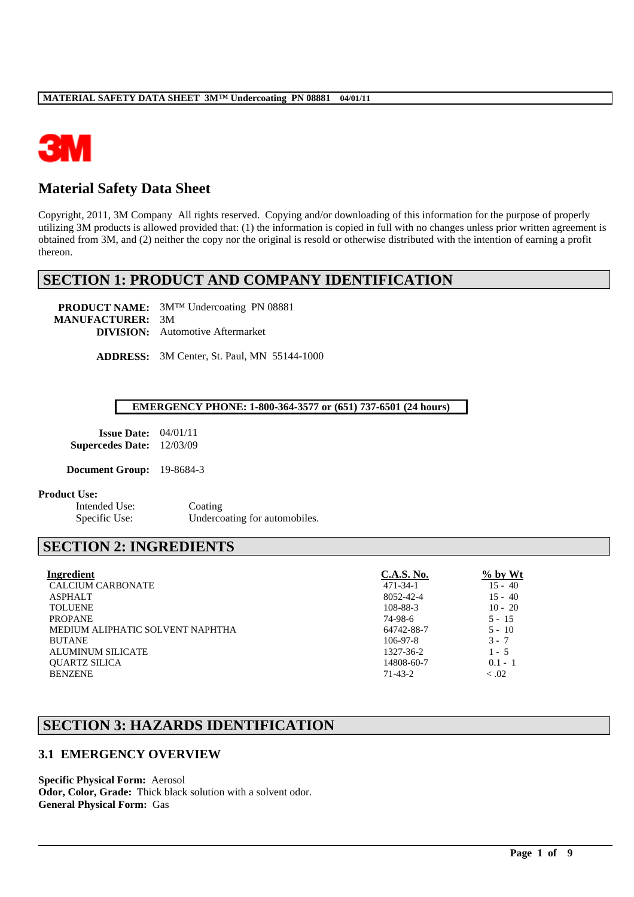

# **Material Safety Data Sheet**

Copyright, 2011, 3M Company All rights reserved. Copying and/or downloading of this information for the purpose of properly utilizing 3M products is allowed provided that: (1) the information is copied in full with no changes unless prior written agreement is obtained from 3M, and (2) neither the copy nor the original is resold or otherwise distributed with the intention of earning a profit thereon.

# **SECTION 1: PRODUCT AND COMPANY IDENTIFICATION**

**PRODUCT NAME:** 3M™ Undercoating PN 08881 **MANUFACTURER:** 3M **DIVISION:** Automotive Aftermarket

**ADDRESS:** 3M Center, St. Paul, MN 55144-1000

#### **EMERGENCY PHONE: 1-800-364-3577 or (651) 737-6501 (24 hours)**

| <b>Issue Date:</b>      | 04/01/11 |
|-------------------------|----------|
| <b>Supercedes Date:</b> | 12/03/09 |

**Document Group:** 19-8684-3

#### **Product Use:**

Intended Use: Coating

Specific Use: Undercoating for automobiles.

# **SECTION 2: INGREDIENTS**

| Ingredient                       | <b>C.A.S. No.</b> | $\%$ by Wt |
|----------------------------------|-------------------|------------|
| <b>CALCIUM CARBONATE</b>         | $471 - 34 - 1$    | $15 - 40$  |
| <b>ASPHALT</b>                   | 8052-42-4         | $15 - 40$  |
| <b>TOLUENE</b>                   | 108-88-3          | $10 - 20$  |
| <b>PROPANE</b>                   | 74-98-6           | $5 - 15$   |
| MEDIUM ALIPHATIC SOLVENT NAPHTHA | 64742-88-7        | $5 - 10$   |
| <b>BUTANE</b>                    | $106-97-8$        | $3 - 7$    |
| ALUMINUM SILICATE                | 1327-36-2         | $1 - 5$    |
| <b>OUARTZ SILICA</b>             | 14808-60-7        | $0.1 - 1$  |
| <b>BENZENE</b>                   | $71-43-2$         | $-.02$     |

\_\_\_\_\_\_\_\_\_\_\_\_\_\_\_\_\_\_\_\_\_\_\_\_\_\_\_\_\_\_\_\_\_\_\_\_\_\_\_\_\_\_\_\_\_\_\_\_\_\_\_\_\_\_\_\_\_\_\_\_\_\_\_\_\_\_\_\_\_\_\_\_\_\_\_\_\_\_\_\_\_\_\_\_\_\_\_\_\_\_\_\_\_\_\_\_\_

# **SECTION 3: HAZARDS IDENTIFICATION**

## **3.1 EMERGENCY OVERVIEW**

**Specific Physical Form:** Aerosol **Odor, Color, Grade:** Thick black solution with a solvent odor. **General Physical Form:** Gas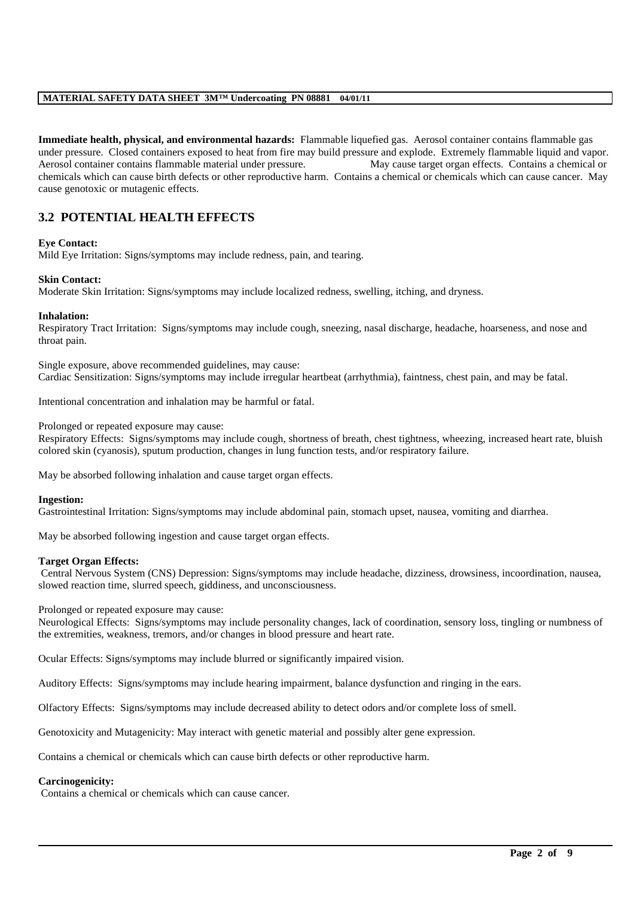**Immediate health, physical, and environmental hazards:** Flammable liquefied gas. Aerosol container contains flammable gas under pressure. Closed containers exposed to heat from fire may build pressure and explode. Extremely flammable liquid and vapor. Aerosol container contains flammable material under pressure. May cause target organ effects. Contains a chemical or chemicals which can cause birth defects or other reproductive harm. Contains a chemical or chemicals which can cause cancer. May cause genotoxic or mutagenic effects.

## **3.2 POTENTIAL HEALTH EFFECTS**

#### **Eye Contact:**

Mild Eye Irritation: Signs/symptoms may include redness, pain, and tearing.

#### **Skin Contact:**

Moderate Skin Irritation: Signs/symptoms may include localized redness, swelling, itching, and dryness.

#### **Inhalation:**

Respiratory Tract Irritation: Signs/symptoms may include cough, sneezing, nasal discharge, headache, hoarseness, and nose and throat pain.

Single exposure, above recommended guidelines, may cause: Cardiac Sensitization: Signs/symptoms may include irregular heartbeat (arrhythmia), faintness, chest pain, and may be fatal.

Intentional concentration and inhalation may be harmful or fatal.

Prolonged or repeated exposure may cause:

Respiratory Effects: Signs/symptoms may include cough, shortness of breath, chest tightness, wheezing, increased heart rate, bluish colored skin (cyanosis), sputum production, changes in lung function tests, and/or respiratory failure.

May be absorbed following inhalation and cause target organ effects.

#### **Ingestion:**

Gastrointestinal Irritation: Signs/symptoms may include abdominal pain, stomach upset, nausea, vomiting and diarrhea.

May be absorbed following ingestion and cause target organ effects.

#### **Target Organ Effects:**

Central Nervous System (CNS) Depression: Signs/symptoms may include headache, dizziness, drowsiness, incoordination, nausea, slowed reaction time, slurred speech, giddiness, and unconsciousness.

#### Prolonged or repeated exposure may cause:

Neurological Effects: Signs/symptoms may include personality changes, lack of coordination, sensory loss, tingling or numbness of the extremities, weakness, tremors, and/or changes in blood pressure and heart rate.

\_\_\_\_\_\_\_\_\_\_\_\_\_\_\_\_\_\_\_\_\_\_\_\_\_\_\_\_\_\_\_\_\_\_\_\_\_\_\_\_\_\_\_\_\_\_\_\_\_\_\_\_\_\_\_\_\_\_\_\_\_\_\_\_\_\_\_\_\_\_\_\_\_\_\_\_\_\_\_\_\_\_\_\_\_\_\_\_\_\_\_\_\_\_\_\_\_

Ocular Effects: Signs/symptoms may include blurred or significantly impaired vision.

Auditory Effects: Signs/symptoms may include hearing impairment, balance dysfunction and ringing in the ears.

Olfactory Effects: Signs/symptoms may include decreased ability to detect odors and/or complete loss of smell.

Genotoxicity and Mutagenicity: May interact with genetic material and possibly alter gene expression.

Contains a chemical or chemicals which can cause birth defects or other reproductive harm.

#### **Carcinogenicity:**

Contains a chemical or chemicals which can cause cancer.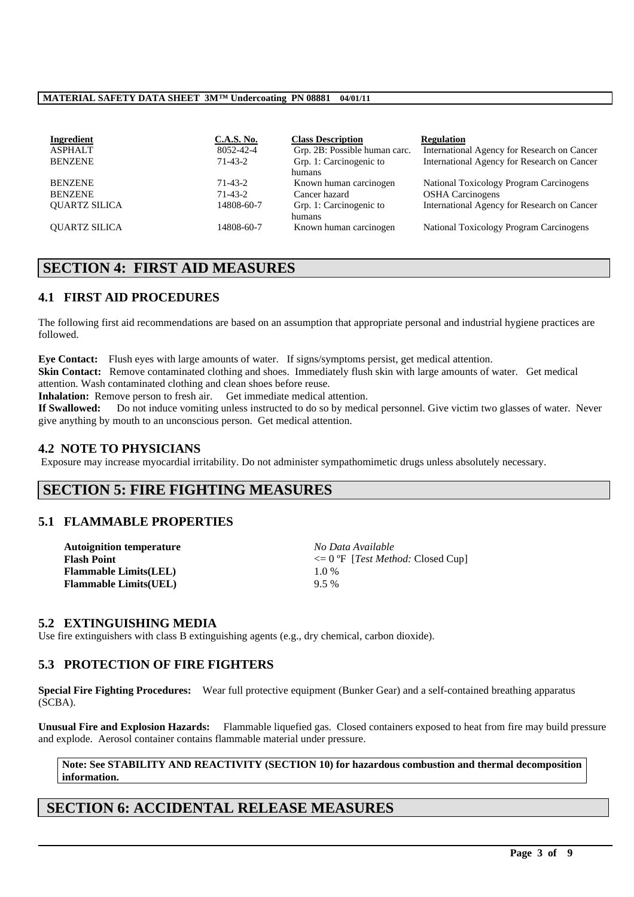| Ingredient           | <b>C.A.S. No.</b> | <b>Class Description</b>      | <b>Regulation</b>                           |
|----------------------|-------------------|-------------------------------|---------------------------------------------|
| <b>ASPHALT</b>       | 8052-42-4         | Grp. 2B: Possible human carc. | International Agency for Research on Cancer |
| <b>BENZENE</b>       | $71-43-2$         | Grp. 1: Carcinogenic to       | International Agency for Research on Cancer |
|                      |                   | humans                        |                                             |
| <b>BENZENE</b>       | 71-43-2           | Known human carcinogen        | National Toxicology Program Carcinogens     |
| <b>BENZENE</b>       | $71-43-2$         | Cancer hazard                 | <b>OSHA</b> Carcinogens                     |
| <b>OUARTZ SILICA</b> | 14808-60-7        | Grp. 1: Carcinogenic to       | International Agency for Research on Cancer |
|                      |                   | humans                        |                                             |
| <b>OUARTZ SILICA</b> | 14808-60-7        | Known human carcinogen        | National Toxicology Program Carcinogens     |

# **SECTION 4: FIRST AID MEASURES**

## **4.1 FIRST AID PROCEDURES**

The following first aid recommendations are based on an assumption that appropriate personal and industrial hygiene practices are followed.

**Eye Contact:** Flush eyes with large amounts of water. If signs/symptoms persist, get medical attention. **Skin Contact:** Remove contaminated clothing and shoes. Immediately flush skin with large amounts of water. Get medical attention. Wash contaminated clothing and clean shoes before reuse.

**Inhalation:** Remove person to fresh air. Get immediate medical attention.

**If Swallowed:** Do not induce vomiting unless instructed to do so by medical personnel. Give victim two glasses of water. Never give anything by mouth to an unconscious person. Get medical attention.

### **4.2 NOTE TO PHYSICIANS**

Exposure may increase myocardial irritability. Do not administer sympathomimetic drugs unless absolutely necessary.

## **SECTION 5: FIRE FIGHTING MEASURES**

## **5.1 FLAMMABLE PROPERTIES**

| <b>Autoignition temperature</b> | No Data Available                                   |
|---------------------------------|-----------------------------------------------------|
| <b>Flash Point</b>              | $\epsilon = 0$ °F [ <i>Test Method:</i> Closed Cup] |
| <b>Flammable Limits(LEL)</b>    | 10%                                                 |
| <b>Flammable Limits(UEL)</b>    | $9.5\%$                                             |

## **5.2 EXTINGUISHING MEDIA**

Use fire extinguishers with class B extinguishing agents (e.g., dry chemical, carbon dioxide).

## **5.3 PROTECTION OF FIRE FIGHTERS**

**Special Fire Fighting Procedures:** Wear full protective equipment (Bunker Gear) and a self-contained breathing apparatus (SCBA).

**Unusual Fire and Explosion Hazards:** Flammable liquefied gas. Closed containers exposed to heat from fire may build pressure and explode. Aerosol container contains flammable material under pressure.

### **Note: See STABILITY AND REACTIVITY (SECTION 10) for hazardous combustion and thermal decomposition information.**

\_\_\_\_\_\_\_\_\_\_\_\_\_\_\_\_\_\_\_\_\_\_\_\_\_\_\_\_\_\_\_\_\_\_\_\_\_\_\_\_\_\_\_\_\_\_\_\_\_\_\_\_\_\_\_\_\_\_\_\_\_\_\_\_\_\_\_\_\_\_\_\_\_\_\_\_\_\_\_\_\_\_\_\_\_\_\_\_\_\_\_\_\_\_\_\_\_

## **SECTION 6: ACCIDENTAL RELEASE MEASURES**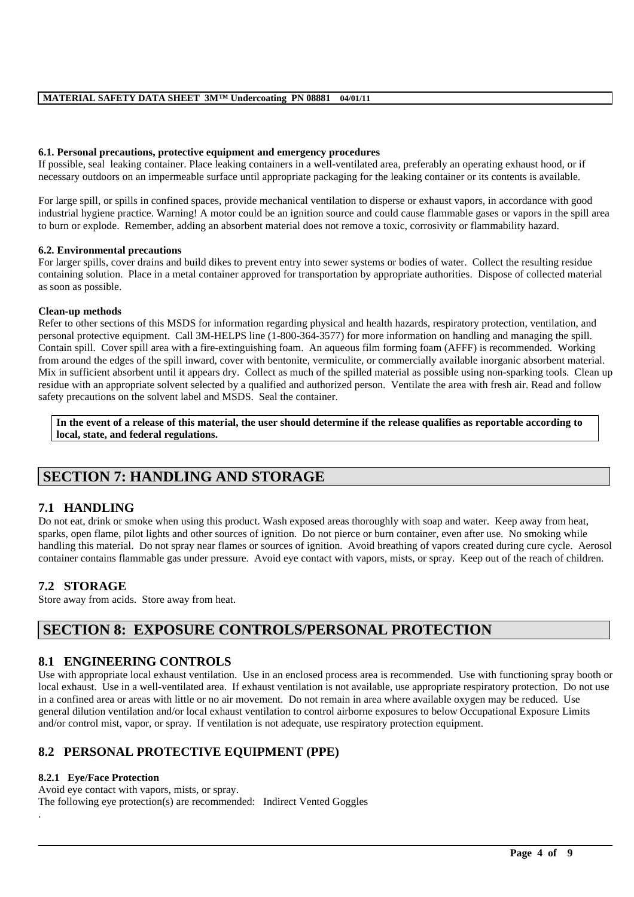#### **6.1. Personal precautions, protective equipment and emergency procedures**

If possible, seal leaking container. Place leaking containers in a well-ventilated area, preferably an operating exhaust hood, or if necessary outdoors on an impermeable surface until appropriate packaging for the leaking container or its contents is available.

For large spill, or spills in confined spaces, provide mechanical ventilation to disperse or exhaust vapors, in accordance with good industrial hygiene practice. Warning! A motor could be an ignition source and could cause flammable gases or vapors in the spill area to burn or explode. Remember, adding an absorbent material does not remove a toxic, corrosivity or flammability hazard.

#### **6.2. Environmental precautions**

For larger spills, cover drains and build dikes to prevent entry into sewer systems or bodies of water. Collect the resulting residue containing solution. Place in a metal container approved for transportation by appropriate authorities. Dispose of collected material as soon as possible.

#### **Clean-up methods**

Refer to other sections of this MSDS for information regarding physical and health hazards, respiratory protection, ventilation, and personal protective equipment. Call 3M-HELPS line (1-800-364-3577) for more information on handling and managing the spill. Contain spill. Cover spill area with a fire-extinguishing foam. An aqueous film forming foam (AFFF) is recommended. Working from around the edges of the spill inward, cover with bentonite, vermiculite, or commercially available inorganic absorbent material. Mix in sufficient absorbent until it appears dry. Collect as much of the spilled material as possible using non-sparking tools. Clean up residue with an appropriate solvent selected by a qualified and authorized person. Ventilate the area with fresh air. Read and follow safety precautions on the solvent label and MSDS. Seal the container.

**In the event of a release of this material, the user should determine if the release qualifies as reportable according to local, state, and federal regulations.**

# **SECTION 7: HANDLING AND STORAGE**

## **7.1 HANDLING**

Do not eat, drink or smoke when using this product. Wash exposed areas thoroughly with soap and water. Keep away from heat, sparks, open flame, pilot lights and other sources of ignition. Do not pierce or burn container, even after use. No smoking while handling this material. Do not spray near flames or sources of ignition. Avoid breathing of vapors created during cure cycle. Aerosol container contains flammable gas under pressure. Avoid eye contact with vapors, mists, or spray. Keep out of the reach of children.

## **7.2 STORAGE**

Store away from acids. Store away from heat.

# **SECTION 8: EXPOSURE CONTROLS/PERSONAL PROTECTION**

## **8.1 ENGINEERING CONTROLS**

Use with appropriate local exhaust ventilation. Use in an enclosed process area is recommended. Use with functioning spray booth or local exhaust. Use in a well-ventilated area. If exhaust ventilation is not available, use appropriate respiratory protection. Do not use in a confined area or areas with little or no air movement. Do not remain in area where available oxygen may be reduced. Use general dilution ventilation and/or local exhaust ventilation to control airborne exposures to below Occupational Exposure Limits and/or control mist, vapor, or spray. If ventilation is not adequate, use respiratory protection equipment.

\_\_\_\_\_\_\_\_\_\_\_\_\_\_\_\_\_\_\_\_\_\_\_\_\_\_\_\_\_\_\_\_\_\_\_\_\_\_\_\_\_\_\_\_\_\_\_\_\_\_\_\_\_\_\_\_\_\_\_\_\_\_\_\_\_\_\_\_\_\_\_\_\_\_\_\_\_\_\_\_\_\_\_\_\_\_\_\_\_\_\_\_\_\_\_\_\_

## **8.2 PERSONAL PROTECTIVE EQUIPMENT (PPE)**

#### **8.2.1 Eye/Face Protection**

Avoid eye contact with vapors, mists, or spray. The following eye protection(s) are recommended: Indirect Vented Goggles .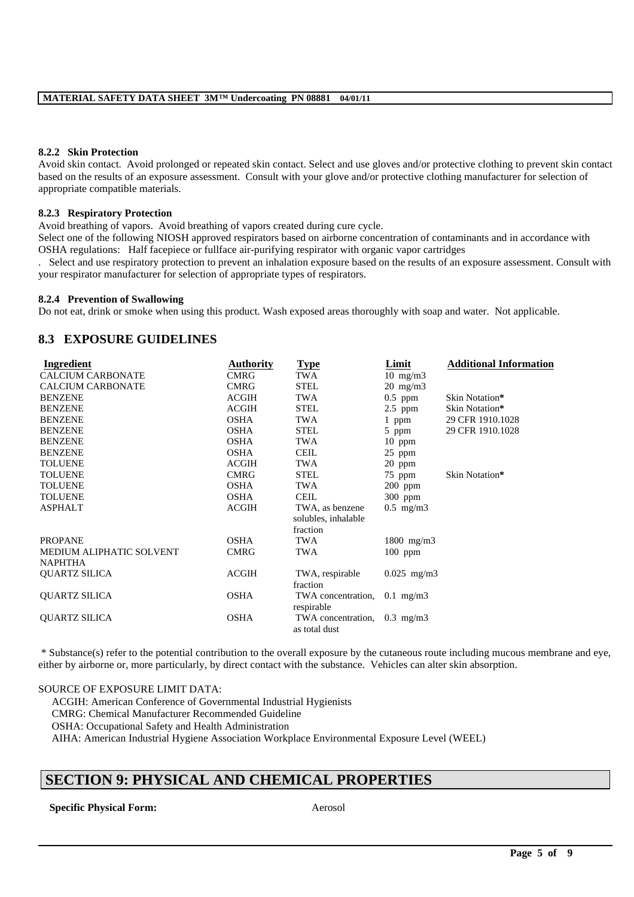#### **8.2.2 Skin Protection**

Avoid skin contact. Avoid prolonged or repeated skin contact. Select and use gloves and/or protective clothing to prevent skin contact based on the results of an exposure assessment. Consult with your glove and/or protective clothing manufacturer for selection of appropriate compatible materials.

#### **8.2.3 Respiratory Protection**

Avoid breathing of vapors. Avoid breathing of vapors created during cure cycle.

Select one of the following NIOSH approved respirators based on airborne concentration of contaminants and in accordance with OSHA regulations: Half facepiece or fullface air-purifying respirator with organic vapor cartridges

. Select and use respiratory protection to prevent an inhalation exposure based on the results of an exposure assessment. Consult with your respirator manufacturer for selection of appropriate types of respirators.

#### **8.2.4 Prevention of Swallowing**

Do not eat, drink or smoke when using this product. Wash exposed areas thoroughly with soap and water. Not applicable.

## **8.3 EXPOSURE GUIDELINES**

| Ingredient               | <b>Authority</b> | <u>Type</u>         | Limit             | <b>Additional Information</b> |
|--------------------------|------------------|---------------------|-------------------|-------------------------------|
| <b>CALCIUM CARBONATE</b> | <b>CMRG</b>      | TWA                 | $10 \text{ mg/m}$ |                               |
| <b>CALCIUM CARBONATE</b> | <b>CMRG</b>      | <b>STEL</b>         | $20$ mg/m $3$     |                               |
| <b>BENZENE</b>           | <b>ACGIH</b>     | TWA                 | $0.5$ ppm         | Skin Notation*                |
| <b>BENZENE</b>           | <b>ACGIH</b>     | <b>STEL</b>         | $2.5$ ppm         | Skin Notation*                |
| <b>BENZENE</b>           | <b>OSHA</b>      | TWA                 | 1 ppm             | 29 CFR 1910.1028              |
| <b>BENZENE</b>           | <b>OSHA</b>      | <b>STEL</b>         | 5 ppm             | 29 CFR 1910.1028              |
| <b>BENZENE</b>           | <b>OSHA</b>      | TWA                 | $10$ ppm          |                               |
| <b>BENZENE</b>           | <b>OSHA</b>      | <b>CEIL</b>         | 25 ppm            |                               |
| <b>TOLUENE</b>           | <b>ACGIH</b>     | TWA                 | 20 ppm            |                               |
| <b>TOLUENE</b>           | <b>CMRG</b>      | <b>STEL</b>         | 75 ppm            | Skin Notation*                |
| <b>TOLUENE</b>           | <b>OSHA</b>      | <b>TWA</b>          | $200$ ppm         |                               |
| <b>TOLUENE</b>           | <b>OSHA</b>      | <b>CEIL</b>         | 300 ppm           |                               |
| <b>ASPHALT</b>           | <b>ACGIH</b>     | TWA, as benzene     | $0.5$ mg/m $3$    |                               |
|                          |                  | solubles, inhalable |                   |                               |
|                          |                  | fraction            |                   |                               |
| <b>PROPANE</b>           | <b>OSHA</b>      | TWA                 | $1800$ mg/m3      |                               |
| MEDIUM ALIPHATIC SOLVENT | <b>CMRG</b>      | TWA                 | $100$ ppm         |                               |
| <b>NAPHTHA</b>           |                  |                     |                   |                               |
| <b>QUARTZ SILICA</b>     | <b>ACGIH</b>     | TWA, respirable     | $0.025$ mg/m3     |                               |
|                          |                  | fraction            |                   |                               |
| <b>QUARTZ SILICA</b>     | <b>OSHA</b>      | TWA concentration,  | $0.1$ mg/m $3$    |                               |
|                          |                  | respirable          |                   |                               |
| <b>QUARTZ SILICA</b>     |                  |                     |                   |                               |
|                          | <b>OSHA</b>      | TWA concentration,  | $0.3$ mg/m $3$    |                               |

\* Substance(s) refer to the potential contribution to the overall exposure by the cutaneous route including mucous membrane and eye, either by airborne or, more particularly, by direct contact with the substance. Vehicles can alter skin absorption.

#### SOURCE OF EXPOSURE LIMIT DATA:

ACGIH: American Conference of Governmental Industrial Hygienists

CMRG: Chemical Manufacturer Recommended Guideline

OSHA: Occupational Safety and Health Administration

AIHA: American Industrial Hygiene Association Workplace Environmental Exposure Level (WEEL)

# **SECTION 9: PHYSICAL AND CHEMICAL PROPERTIES**

**Specific Physical Form:** Aerosol

\_\_\_\_\_\_\_\_\_\_\_\_\_\_\_\_\_\_\_\_\_\_\_\_\_\_\_\_\_\_\_\_\_\_\_\_\_\_\_\_\_\_\_\_\_\_\_\_\_\_\_\_\_\_\_\_\_\_\_\_\_\_\_\_\_\_\_\_\_\_\_\_\_\_\_\_\_\_\_\_\_\_\_\_\_\_\_\_\_\_\_\_\_\_\_\_\_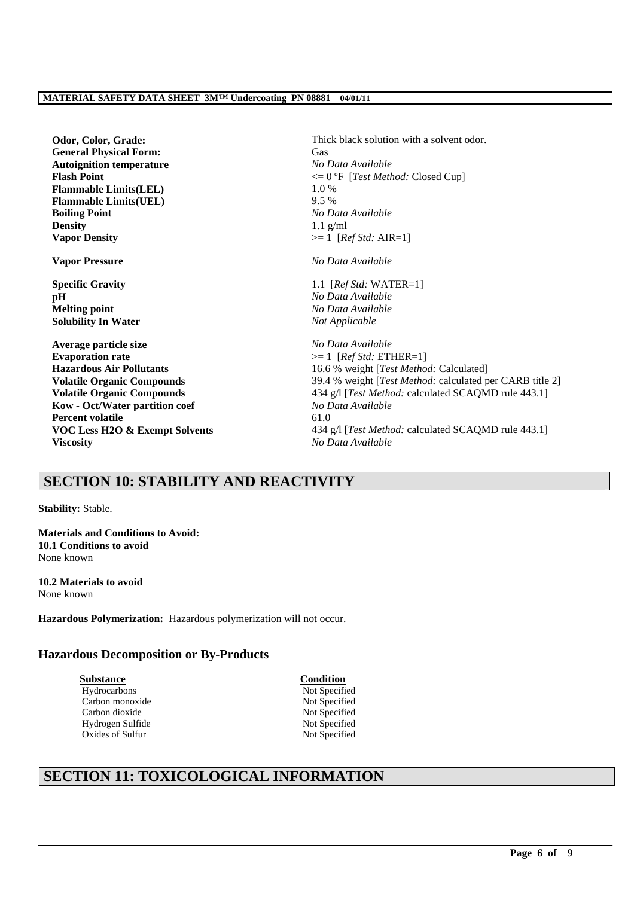**Odor, Color, Grade: Thick black solution with a solvent odor. General Physical Form:** Gas **Autoignition temperature** *No Data Available* **Flash Point**  $\leq 0$  <sup>o</sup>F [*Test Method: Closed Cup*] **Flammable Limits(LEL)** 1.0 % **Flammable Limits(UEL)** 9.5 % **Boiling Point** *No Data Available* **Density** 1.1 g/ml **Vapor Density** >= 1 [*Ref Std:* AIR=1] **Vapor Pressure** *No Data Available* **Specific Gravity** 1.1 [*Ref Std:* WATER=1] **pH** *No Data Available* **Melting point** *No Data Available* **Solubility In Water** *Not Applicable* **Average particle size** *No Data Available* **Evaporation rate**  $\geq 1$  [*Ref Std:* ETHER=1] **Hazardous Air Pollutants** 16.6 % weight [*Test Method:* Calculated] **Volatile Organic Compounds** 39.4 % weight [*Test Method:* calculated per CARB title 2] **Volatile Organic Compounds** 434 g/l [*Test Method: calculated SCAQMD rule 443.1*] **Kow - Oct/Water partition coef** *No Data Available* **Percent volatile** 61.0 **VOC Less H2O & Exempt Solvents** 434 g/l [*Test Method: calculated SCAQMD rule 443.1*] **Viscosity** *No Data Available*

# **SECTION 10: STABILITY AND REACTIVITY**

**Stability:** Stable.

**Materials and Conditions to Avoid: 10.1 Conditions to avoid** None known

**10.2 Materials to avoid** None known

**Hazardous Polymerization:** Hazardous polymerization will not occur.

## **Hazardous Decomposition or By-Products**

**Substance Condition** Hydrocarbons Not Specified Carbon monoxide Not Specified Carbon dioxide Not Specified Hydrogen Sulfide Not Specified Oxides of Sulfur Not Specified

\_\_\_\_\_\_\_\_\_\_\_\_\_\_\_\_\_\_\_\_\_\_\_\_\_\_\_\_\_\_\_\_\_\_\_\_\_\_\_\_\_\_\_\_\_\_\_\_\_\_\_\_\_\_\_\_\_\_\_\_\_\_\_\_\_\_\_\_\_\_\_\_\_\_\_\_\_\_\_\_\_\_\_\_\_\_\_\_\_\_\_\_\_\_\_\_\_

# **SECTION 11: TOXICOLOGICAL INFORMATION**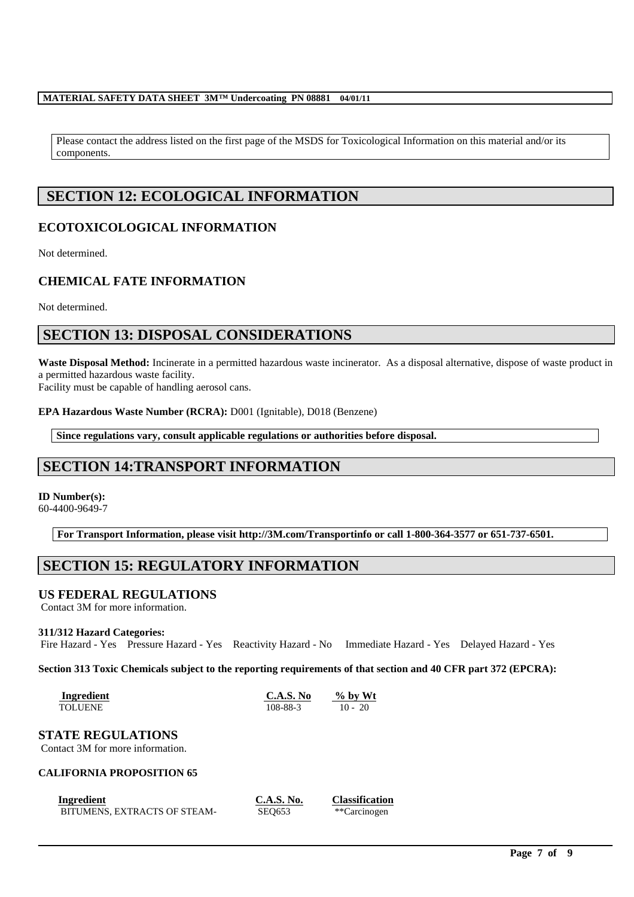Please contact the address listed on the first page of the MSDS for Toxicological Information on this material and/or its components.

# **SECTION 12: ECOLOGICAL INFORMATION**

## **ECOTOXICOLOGICAL INFORMATION**

Not determined.

# **CHEMICAL FATE INFORMATION**

Not determined.

# **SECTION 13: DISPOSAL CONSIDERATIONS**

**Waste Disposal Method:** Incinerate in a permitted hazardous waste incinerator. As a disposal alternative, dispose of waste product in a permitted hazardous waste facility.

Facility must be capable of handling aerosol cans.

**EPA Hazardous Waste Number (RCRA):** D001 (Ignitable), D018 (Benzene)

**Since regulations vary, consult applicable regulations or authorities before disposal.**

# **SECTION 14:TRANSPORT INFORMATION**

## **ID Number(s):**

60-4400-9649-7

**For Transport Information, please visit http://3M.com/Transportinfo or call 1-800-364-3577 or 651-737-6501.**

# **SECTION 15: REGULATORY INFORMATION**

## **US FEDERAL REGULATIONS**

Contact 3M for more information.

#### **311/312 Hazard Categories:**

Fire Hazard - Yes Pressure Hazard - Yes Reactivity Hazard - No Immediate Hazard - Yes Delayed Hazard - Yes

#### **Section 313 Toxic Chemicals subject to the reporting requirements of that section and 40 CFR part 372 (EPCRA):**

\_\_\_\_\_\_\_\_\_\_\_\_\_\_\_\_\_\_\_\_\_\_\_\_\_\_\_\_\_\_\_\_\_\_\_\_\_\_\_\_\_\_\_\_\_\_\_\_\_\_\_\_\_\_\_\_\_\_\_\_\_\_\_\_\_\_\_\_\_\_\_\_\_\_\_\_\_\_\_\_\_\_\_\_\_\_\_\_\_\_\_\_\_\_\_\_\_

| Ingredient | C.A.S. No | $\%$ by Wt |
|------------|-----------|------------|
| TOLUENE    | 108-88-3  | $10 - 20$  |

## **STATE REGULATIONS**

Contact 3M for more information.

## **CALIFORNIA PROPOSITION 65**

| Ingredient                   | <b>C.A.S. No.</b> | <b>Classification</b> |
|------------------------------|-------------------|-----------------------|
| BITUMENS, EXTRACTS OF STEAM- | <b>SEO653</b>     | **Carcinogen          |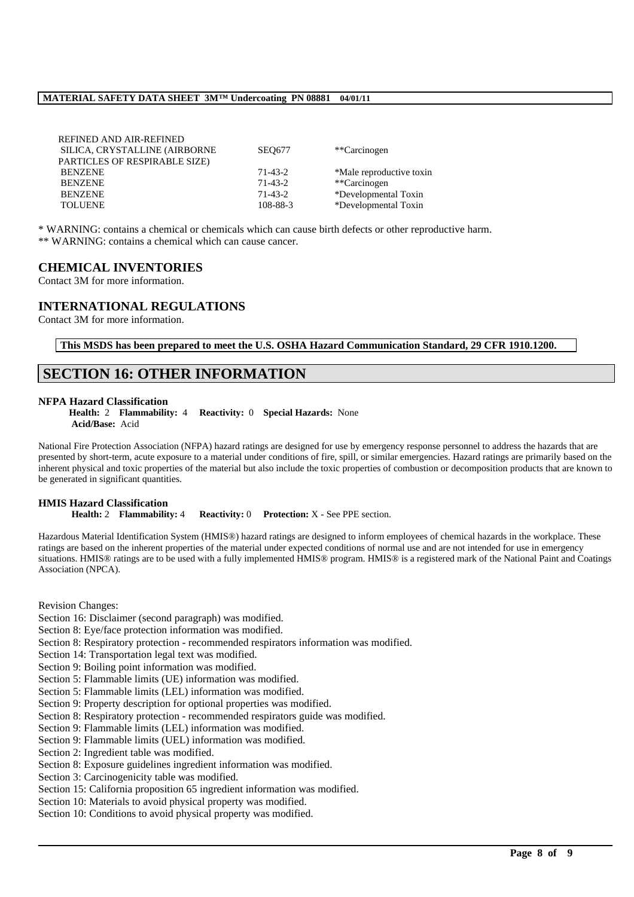| REFINED AND AIR-REFINED<br>SILICA, CRYSTALLINE (AIRBORNE | <b>SEO677</b> | **Carcinogen             |
|----------------------------------------------------------|---------------|--------------------------|
| PARTICLES OF RESPIRABLE SIZE)                            |               |                          |
| <b>BENZENE</b>                                           | 71-43-2       | *Male reproductive toxin |
| BENZENE                                                  | $71-43-2$     | **Carcinogen             |
| <b>BENZENE</b>                                           | $71-43-2$     | *Developmental Toxin     |
| <b>TOLUENE</b>                                           | 108-88-3      | *Developmental Toxin     |

\* WARNING: contains a chemical or chemicals which can cause birth defects or other reproductive harm. \*\* WARNING: contains a chemical which can cause cancer.

### **CHEMICAL INVENTORIES**

Contact 3M for more information.

## **INTERNATIONAL REGULATIONS**

Contact 3M for more information.

**This MSDS has been prepared to meet the U.S. OSHA Hazard Communication Standard, 29 CFR 1910.1200.**

# **SECTION 16: OTHER INFORMATION**

#### **NFPA Hazard Classification**

**Health:** 2 **Flammability:** 4 **Reactivity:** 0 **Special Hazards:** None **Acid/Base:** Acid

National Fire Protection Association (NFPA) hazard ratings are designed for use by emergency response personnel to address the hazards that are presented by short-term, acute exposure to a material under conditions of fire, spill, or similar emergencies. Hazard ratings are primarily based on the inherent physical and toxic properties of the material but also include the toxic properties of combustion or decomposition products that are known to be generated in significant quantities.

#### **HMIS Hazard Classification**

**Health:** 2 **Flammability:** 4 **Reactivity:** 0 **Protection:** X - See PPE section.

Hazardous Material Identification System (HMIS®) hazard ratings are designed to inform employees of chemical hazards in the workplace. These ratings are based on the inherent properties of the material under expected conditions of normal use and are not intended for use in emergency situations. HMIS® ratings are to be used with a fully implemented HMIS® program. HMIS® is a registered mark of the National Paint and Coatings Association (NPCA).

\_\_\_\_\_\_\_\_\_\_\_\_\_\_\_\_\_\_\_\_\_\_\_\_\_\_\_\_\_\_\_\_\_\_\_\_\_\_\_\_\_\_\_\_\_\_\_\_\_\_\_\_\_\_\_\_\_\_\_\_\_\_\_\_\_\_\_\_\_\_\_\_\_\_\_\_\_\_\_\_\_\_\_\_\_\_\_\_\_\_\_\_\_\_\_\_\_

Revision Changes:

- Section 16: Disclaimer (second paragraph) was modified.
- Section 8: Eye/face protection information was modified.
- Section 8: Respiratory protection recommended respirators information was modified.
- Section 14: Transportation legal text was modified.
- Section 9: Boiling point information was modified.
- Section 5: Flammable limits (UE) information was modified.
- Section 5: Flammable limits (LEL) information was modified.
- Section 9: Property description for optional properties was modified.
- Section 8: Respiratory protection recommended respirators guide was modified.
- Section 9: Flammable limits (LEL) information was modified.
- Section 9: Flammable limits (UEL) information was modified.
- Section 2: Ingredient table was modified.
- Section 8: Exposure guidelines ingredient information was modified.
- Section 3: Carcinogenicity table was modified.
- Section 15: California proposition 65 ingredient information was modified.
- Section 10: Materials to avoid physical property was modified.
- Section 10: Conditions to avoid physical property was modified.